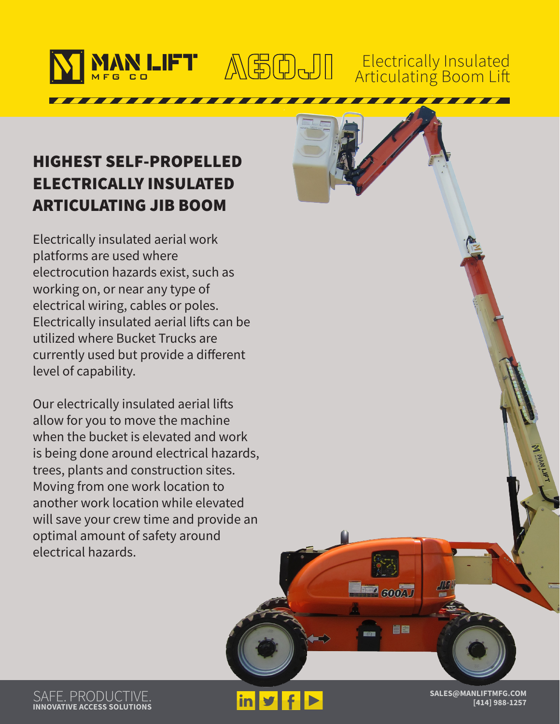

### Electrically Insulated Articulating Boom Lift

# HIGHEST SELF-PROPELLED ELECTRICALLY INSULATED ARTICULATING JIB BOOM

Electrically insulated aerial work platforms are used where electrocution hazards exist, such as working on, or near any type of electrical wiring, cables or poles. Electrically insulated aerial lifts can be utilized where Bucket Trucks are currently used but provide a different level of capability.

Our electrically insulated aerial lifts allow for you to move the machine when the bucket is elevated and work is being done around electrical hazards, trees, plants and construction sites. Moving from one work location to another work location while elevated will save your crew time and provide an optimal amount of safety around electrical hazards.

SAFE. PRODUCTIVE. **INNOVATIVE ACCESS SOLUTIONS**

**in y** 

**SALES@MANLIFTMFG.COM [414] 988-1257**

**FED GOOD** 

88